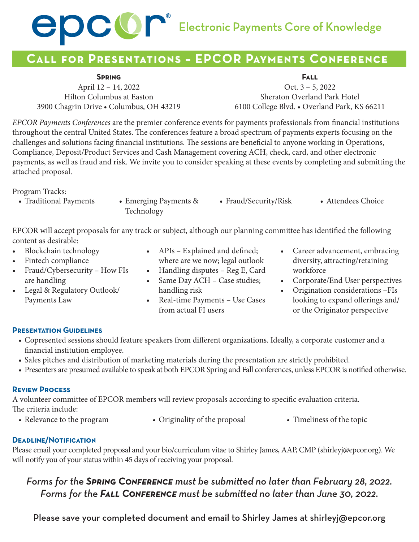

## **Call for Presentations – EPCOR Payments Conference**

#### **Spring**

April 12 – 14, 2022 Hilton Columbus at Easton 3900 Chagrin Drive • Columbus, OH 43219

**Fall** Oct. 3 – 5, 2022 Sheraton Overland Park Hotel 6100 College Blvd. • Overland Park, KS 66211

*EPCOR Payments Conferences* are the premier conference events for payments professionals from financial institutions throughout the central United States. The conferences feature a broad spectrum of payments experts focusing on the challenges and solutions facing financial institutions. The sessions are beneficial to anyone working in Operations, Compliance, Deposit/Product Services and Cash Management covering ACH, check, card, and other electronic payments, as well as fraud and risk. We invite you to consider speaking at these events by completing and submitting the attached proposal.

Program Tracks:

- Traditional Payments Emerging Payments &
- Technology • Fraud/Security/Risk • Attendees Choice

EPCOR will accept proposals for any track or subject, although our planning committee has identified the following content as desirable:

- Blockchain technology
- Fintech compliance
- Fraud/Cybersecurity How FIs are handling
- Legal & Regulatory Outlook/ Payments Law
- APIs Explained and defined; where are we now; legal outlook
- Handling disputes Reg E, Card
- Same Day ACH Case studies;
- handling risk • Real-time Payments – Use Cases

from actual FI users

- Career advancement, embracing diversity, attracting/retaining workforce
- Corporate/End User perspectives
- Origination considerations –FIs looking to expand offerings and/ or the Originator perspective

#### **Presentation Guidelines**

- Copresented sessions should feature speakers from different organizations. Ideally, a corporate customer and a financial institution employee.
- Sales pitches and distribution of marketing materials during the presentation are strictly prohibited.
- Presenters are presumed available to speak at both EPCOR Spring and Fall conferences, unless EPCOR is notified otherwise.

#### **Review Process**

A volunteer committee of EPCOR members will review proposals according to specific evaluation criteria. The criteria include:

- 
- Relevance to the program Originality of the proposal Timeliness of the topic
- 

### **Deadline/Notification**

Please email your completed proposal and your bio/curriculum vitae to Shirley James, AAP, CMP [\(shirleyj@epcor.org\)](mailto:shirleyj@epcor.org). We will notify you of your status within 45 days of receiving your proposal.

### *Forms for the Spring Conference must be submitted no later than February 28, 2022. Forms for the Fall Conference must be submitted no later than June 30, 2022.*

Please save your completed document and email to Shirley James at [shirleyj@epcor.org](mailto:shirleyj@epcor.org)